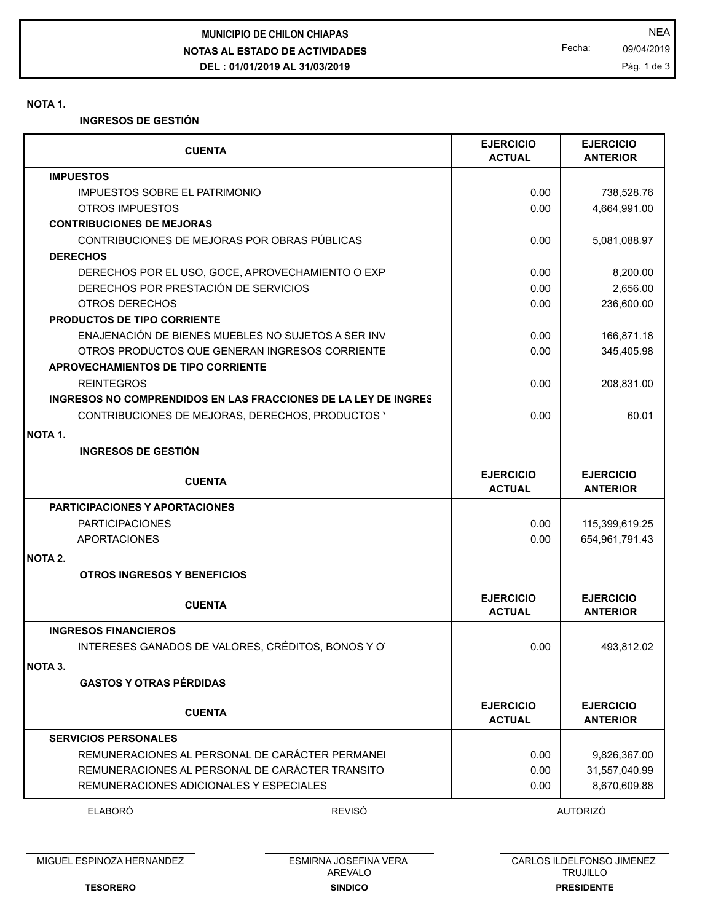**NOTAS AL ESTADO DE ACTIVIDADES DEL : 01/01/2019 AL 31/03/2019 MUNICIPIO DE CHILON CHIAPAS** NEA

Fecha: 09/04/2019 Pág. 1 de 3

#### **NOTA 1.**

**INGRESOS DE GESTIÓN**

|                  | <b>CUENTA</b>                                                  | <b>EJERCICIO</b><br><b>ACTUAL</b> | <b>EJERCICIO</b><br><b>ANTERIOR</b> |
|------------------|----------------------------------------------------------------|-----------------------------------|-------------------------------------|
| <b>IMPUESTOS</b> |                                                                |                                   |                                     |
|                  | <b>IMPUESTOS SOBRE EL PATRIMONIO</b>                           | 0.00                              | 738,528.76                          |
|                  | OTROS IMPUESTOS                                                | 0.00                              | 4,664,991.00                        |
|                  | <b>CONTRIBUCIONES DE MEJORAS</b>                               |                                   |                                     |
|                  | CONTRIBUCIONES DE MEJORAS POR OBRAS PÚBLICAS                   | 0.00                              | 5,081,088.97                        |
| <b>DERECHOS</b>  |                                                                |                                   |                                     |
|                  | DERECHOS POR EL USO, GOCE, APROVECHAMIENTO O EXP               | 0.00                              | 8,200.00                            |
|                  | DERECHOS POR PRESTACIÓN DE SERVICIOS                           | 0.00                              | 2,656.00                            |
|                  | OTROS DERECHOS                                                 | 0.00                              | 236,600.00                          |
|                  | PRODUCTOS DE TIPO CORRIENTE                                    |                                   |                                     |
|                  | ENAJENACIÓN DE BIENES MUEBLES NO SUJETOS A SER INV             | 0.00                              | 166,871.18                          |
|                  | OTROS PRODUCTOS QUE GENERAN INGRESOS CORRIENTE                 | 0.00                              | 345,405.98                          |
|                  | APROVECHAMIENTOS DE TIPO CORRIENTE                             |                                   |                                     |
|                  | <b>REINTEGROS</b>                                              | 0.00                              | 208,831.00                          |
|                  | INGRESOS NO COMPRENDIDOS EN LAS FRACCIONES DE LA LEY DE INGRES |                                   |                                     |
|                  | CONTRIBUCIONES DE MEJORAS, DERECHOS, PRODUCTOS '               | 0.00                              | 60.01                               |
|                  |                                                                |                                   |                                     |
| NOTA 1.          |                                                                |                                   |                                     |
|                  | <b>INGRESOS DE GESTIÓN</b>                                     |                                   |                                     |
|                  | <b>CUENTA</b>                                                  | <b>EJERCICIO</b>                  | <b>EJERCICIO</b>                    |
|                  |                                                                | <b>ACTUAL</b>                     | <b>ANTERIOR</b>                     |
|                  | <b>PARTICIPACIONES Y APORTACIONES</b>                          |                                   |                                     |
|                  | <b>PARTICIPACIONES</b>                                         | 0.00                              | 115,399,619.25                      |
|                  | APORTACIONES                                                   | 0.00                              | 654,961,791.43                      |
| <b>NOTA 2.</b>   |                                                                |                                   |                                     |
|                  |                                                                |                                   |                                     |
|                  | <b>OTROS INGRESOS Y BENEFICIOS</b>                             |                                   |                                     |
|                  | <b>CUENTA</b>                                                  | <b>EJERCICIO</b>                  | <b>EJERCICIO</b>                    |
|                  |                                                                | <b>ACTUAL</b>                     | <b>ANTERIOR</b>                     |
|                  | <b>INGRESOS FINANCIEROS</b>                                    |                                   |                                     |
|                  | INTERESES GANADOS DE VALORES, CRÉDITOS, BONOS Y O              | 0.00                              | 493,812.02                          |
| <b>NOTA 3.</b>   |                                                                |                                   |                                     |
|                  | <b>GASTOS Y OTRAS PÉRDIDAS</b>                                 |                                   |                                     |
|                  |                                                                |                                   |                                     |
|                  | <b>CUENTA</b>                                                  | <b>EJERCICIO</b>                  | <b>EJERCICIO</b>                    |
|                  |                                                                | <b>ACTUAL</b>                     | <b>ANTERIOR</b>                     |
|                  | <b>SERVICIOS PERSONALES</b>                                    |                                   |                                     |
|                  | REMUNERACIONES AL PERSONAL DE CARÁCTER PERMANEI                | 0.00                              | 9,826,367.00                        |
|                  | REMUNERACIONES AL PERSONAL DE CARÁCTER TRANSITO                | 0.00                              | 31,557,040.99                       |
|                  | REMUNERACIONES ADICIONALES Y ESPECIALES                        | 0.00                              | 8,670,609.88                        |
|                  | REVISÓ<br>ELABORÓ                                              |                                   | AUTORIZÓ                            |

MIGUEL ESPINOZA HERNANDEZ

**SINDICO** ESMIRNA JOSEFINA VERA AREVALO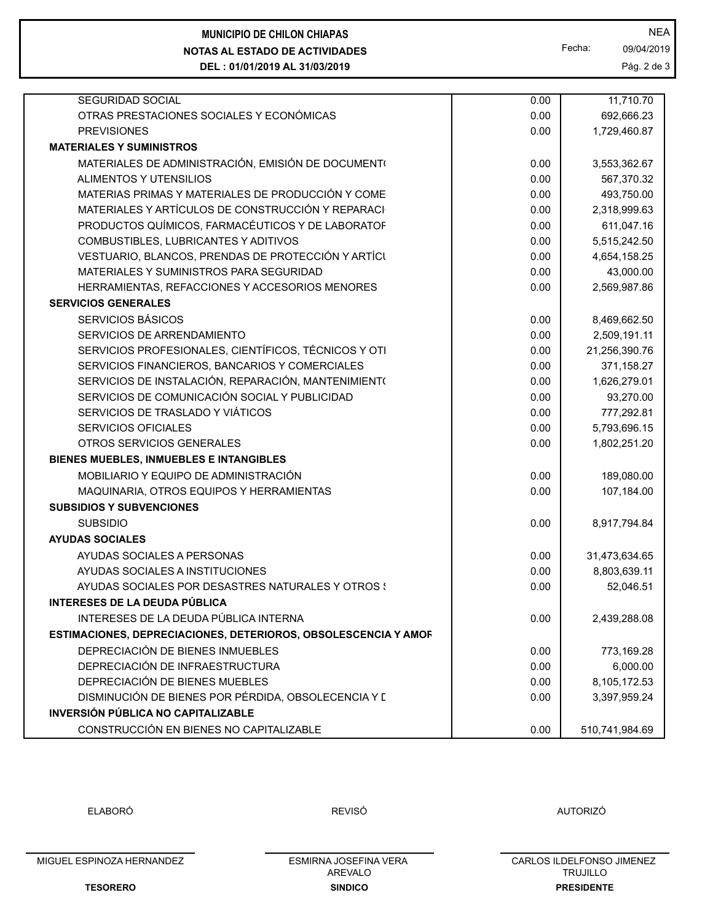| <b>SEGURIDAD SOCIAL</b>                              | 0.00 | 11,710.70     |  |
|------------------------------------------------------|------|---------------|--|
| OTRAS PRESTACIONES SOCIALES Y ECONÓMICAS             | 0.00 | 692,666.23    |  |
| <b>PREVISIONES</b>                                   | 0.00 | 1,729,460.87  |  |
| <b>MATERIALES Y SUMINISTROS</b>                      |      |               |  |
| MATERIALES DE ADMINISTRACIÓN, EMISIÓN DE DOCUMENTO   | 0.00 | 3,553,362.67  |  |
| ALIMENTOS Y UTENSILIOS                               | 0.00 | 567,370.32    |  |
| MATERIAS PRIMAS Y MATERIALES DE PRODUCCIÓN Y COME    | 0.00 | 493,750.00    |  |
| MATERIALES Y ARTÍCULOS DE CONSTRUCCIÓN Y REPARACI    | 0.00 | 2,318,999.63  |  |
| PRODUCTOS QUÍMICOS, FARMACÉUTICOS Y DE LABORATOF     | 0.00 | 611,047.16    |  |
| COMBUSTIBLES, LUBRICANTES Y ADITIVOS                 | 0.00 | 5,515,242.50  |  |
| VESTUARIO, BLANCOS, PRENDAS DE PROTECCIÓN Y ARTÍCI   | 0.00 | 4,654,158.25  |  |
| MATERIALES Y SUMINISTROS PARA SEGURIDAD              | 0.00 | 43,000.00     |  |
| HERRAMIENTAS, REFACCIONES Y ACCESORIOS MENORES       | 0.00 | 2,569,987.86  |  |
| <b>SERVICIOS GENERALES</b>                           |      |               |  |
| <b>SERVICIOS BÁSICOS</b>                             | 0.00 | 8,469,662.50  |  |
| SERVICIOS DE ARRENDAMIENTO                           | 0.00 | 2,509,191.11  |  |
| SERVICIOS PROFESIONALES, CIENTÍFICOS, TÉCNICOS Y OTI | 0.00 | 21,256,390.76 |  |
| SERVICIOS FINANCIEROS, BANCARIOS Y COMERCIALES       | 0.00 | 371,158.27    |  |
| SERVICIOS DE INSTALACIÓN, REPARACIÓN, MANTENIMIENT(  | 0.00 | 1,626,279.01  |  |
| SERVICIOS DE COMUNICACIÓN SOCIAL Y PUBLICIDAD        | 0.00 | 93,270.00     |  |

**NOTAS AL ESTADO DE ACTIVIDADES MUNICIPIO DE CHILON CHIAPAS** NEA

**DEL : 01/01/2019 AL 31/03/2019**

Fecha: 09/04/2019

Pág. 2 de 3

| <b>PREVISIONES</b>                                             | 0.00 | 1,729,460.87   |  |
|----------------------------------------------------------------|------|----------------|--|
| <b>MATERIALES Y SUMINISTROS</b>                                |      |                |  |
| MATERIALES DE ADMINISTRACIÓN, EMISIÓN DE DOCUMENTO             | 0.00 | 3,553,362.67   |  |
| ALIMENTOS Y UTENSILIOS                                         | 0.00 | 567,370.32     |  |
| MATERIAS PRIMAS Y MATERIALES DE PRODUCCIÓN Y COME              | 0.00 | 493,750.00     |  |
| MATERIALES Y ARTÍCULOS DE CONSTRUCCIÓN Y REPARACI              | 0.00 | 2,318,999.63   |  |
| PRODUCTOS QUÍMICOS, FARMACÉUTICOS Y DE LABORATOF               | 0.00 | 611,047.16     |  |
| COMBUSTIBLES, LUBRICANTES Y ADITIVOS                           | 0.00 | 5,515,242.50   |  |
| VESTUARIO, BLANCOS, PRENDAS DE PROTECCIÓN Y ARTÍCI             | 0.00 | 4,654,158.25   |  |
| MATERIALES Y SUMINISTROS PARA SEGURIDAD                        | 0.00 | 43,000.00      |  |
| HERRAMIENTAS, REFACCIONES Y ACCESORIOS MENORES                 | 0.00 | 2,569,987.86   |  |
| <b>SERVICIOS GENERALES</b>                                     |      |                |  |
| SERVICIOS BÁSICOS                                              | 0.00 | 8,469,662.50   |  |
| SERVICIOS DE ARRENDAMIENTO                                     | 0.00 | 2,509,191.11   |  |
| SERVICIOS PROFESIONALES, CIENTÍFICOS, TÉCNICOS Y OTI           | 0.00 | 21,256,390.76  |  |
| SERVICIOS FINANCIEROS, BANCARIOS Y COMERCIALES                 | 0.00 | 371,158.27     |  |
| SERVICIOS DE INSTALACIÓN, REPARACIÓN, MANTENIMIENT(            | 0.00 | 1,626,279.01   |  |
| SERVICIOS DE COMUNICACIÓN SOCIAL Y PUBLICIDAD                  | 0.00 | 93,270.00      |  |
| SERVICIOS DE TRASLADO Y VIÁTICOS                               | 0.00 | 777,292.81     |  |
| <b>SERVICIOS OFICIALES</b>                                     | 0.00 | 5,793,696.15   |  |
| OTROS SERVICIOS GENERALES                                      | 0.00 | 1,802,251.20   |  |
| BIENES MUEBLES, INMUEBLES E INTANGIBLES                        |      |                |  |
| MOBILIARIO Y EQUIPO DE ADMINISTRACIÓN                          | 0.00 | 189,080.00     |  |
| MAQUINARIA, OTROS EQUIPOS Y HERRAMIENTAS                       | 0.00 | 107,184.00     |  |
| <b>SUBSIDIOS Y SUBVENCIONES</b>                                |      |                |  |
| <b>SUBSIDIO</b>                                                | 0.00 | 8,917,794.84   |  |
| <b>AYUDAS SOCIALES</b>                                         |      |                |  |
| AYUDAS SOCIALES A PERSONAS                                     | 0.00 | 31,473,634.65  |  |
| AYUDAS SOCIALES A INSTITUCIONES                                | 0.00 | 8,803,639.11   |  |
| AYUDAS SOCIALES POR DESASTRES NATURALES Y OTROS !              | 0.00 | 52,046.51      |  |
| INTERESES DE LA DEUDA PÚBLICA                                  |      |                |  |
| INTERESES DE LA DEUDA PÚBLICA INTERNA                          | 0.00 | 2,439,288.08   |  |
| ESTIMACIONES, DEPRECIACIONES, DETERIOROS, OBSOLESCENCIA Y AMOR |      |                |  |
| DEPRECIACIÓN DE BIENES INMUEBLES                               | 0.00 | 773,169.28     |  |
| DEPRECIACIÓN DE INFRAESTRUCTURA                                | 0.00 | 6,000.00       |  |
| DEPRECIACIÓN DE BIENES MUEBLES                                 | 0.00 | 8,105,172.53   |  |
| DISMINUCIÓN DE BIENES POR PÉRDIDA, OBSOLECENCIA Y L            | 0.00 | 3,397,959.24   |  |
| <b>INVERSIÓN PÚBLICA NO CAPITALIZABLE</b>                      |      |                |  |
| CONSTRUCCIÓN EN BIENES NO CAPITALIZABLE                        | 0.00 | 510,741,984.69 |  |

ELABORÓ REVISÓ AUTORIZÓ

MIGUEL ESPINOZA HERNANDEZ

**TESORERO**

**SINDICO** ESMIRNA JOSEFINA VERA AREVALO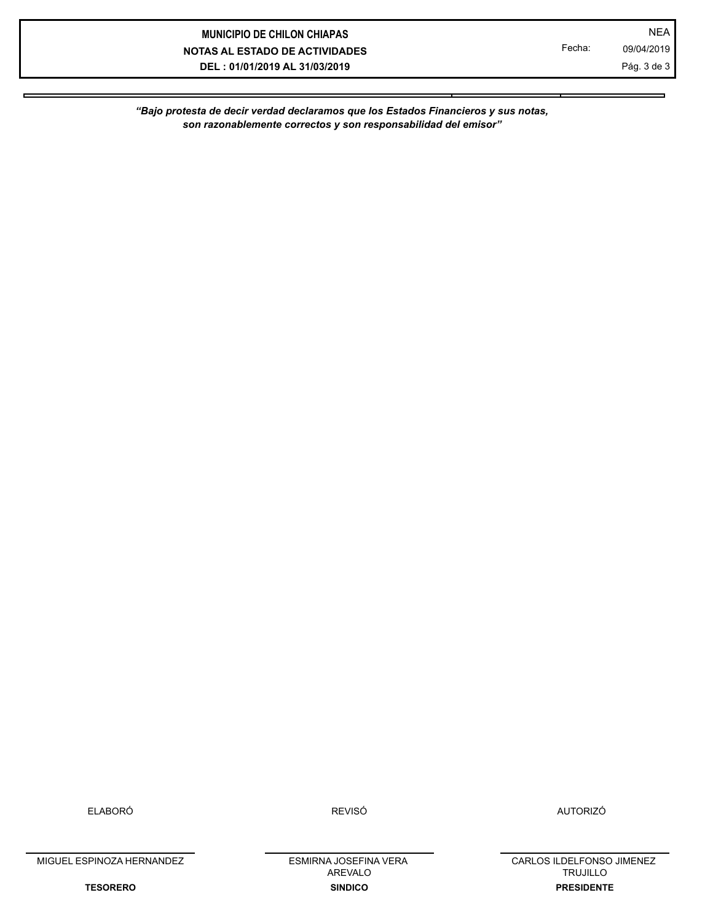# **NOTAS AL ESTADO DE ACTIVIDADES DEL : 01/01/2019 AL 31/03/2019 MUNICIPIO DE CHILON CHIAPAS** NEA

Fecha: 09/04/2019 Pág. 3 de 3

*"Bajo protesta de decir verdad declaramos que los Estados Financieros y sus notas, son razonablemente correctos y son responsabilidad del emisor"*

ELABORÓ REVISÓ AUTORIZÓ

MIGUEL ESPINOZA HERNANDEZ

**TESORERO**

**SINDICO** ESMIRNA JOSEFINA VERA AREVALO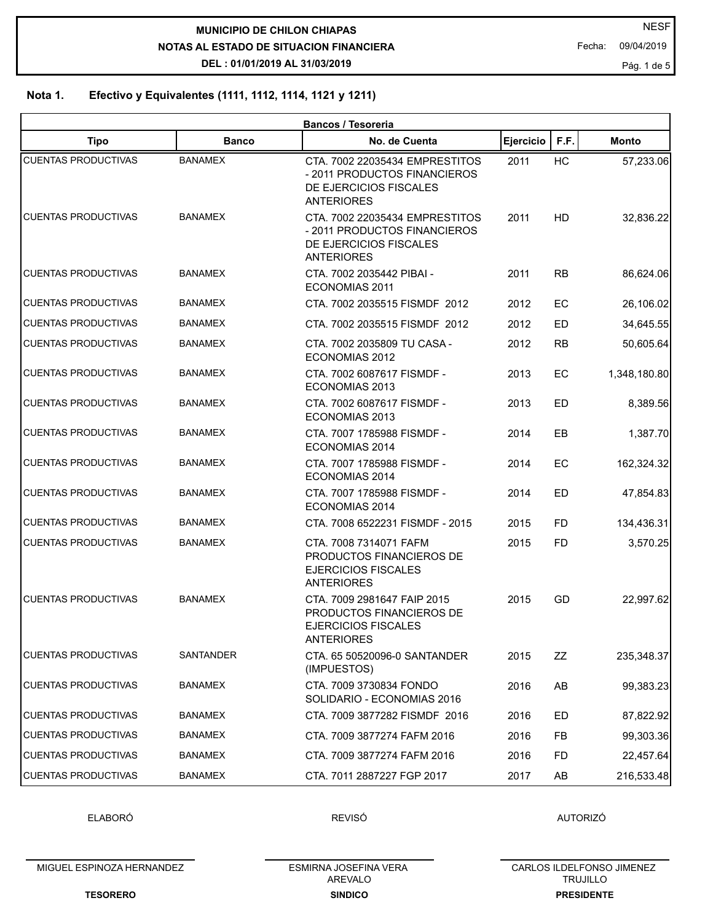**NOTAS AL ESTADO DE SITUACION FINANCIERA DEL : 01/01/2019 AL 31/03/2019 MUNICIPIO DE CHILON CHIAPAS** 

Fecha: 09/04/2019

Pág. 1 de 5

# **Nota 1. Efectivo y Equivalentes (1111, 1112, 1114, 1121 y 1211)**

|                            |                | Bancos / Tesoreria                                                                                            |           |           |              |
|----------------------------|----------------|---------------------------------------------------------------------------------------------------------------|-----------|-----------|--------------|
| <b>Tipo</b>                | <b>Banco</b>   | No. de Cuenta                                                                                                 | Ejercicio | F.F.      | <b>Monto</b> |
| <b>CUENTAS PRODUCTIVAS</b> | <b>BANAMEX</b> | CTA. 7002 22035434 EMPRESTITOS<br>- 2011 PRODUCTOS FINANCIEROS<br>DE EJERCICIOS FISCALES<br><b>ANTERIORES</b> | 2011      | HC        | 57,233.06    |
| <b>CUENTAS PRODUCTIVAS</b> | <b>BANAMEX</b> | CTA, 7002 22035434 EMPRESTITOS<br>- 2011 PRODUCTOS FINANCIEROS<br>DE EJERCICIOS FISCALES<br><b>ANTERIORES</b> | 2011      | <b>HD</b> | 32,836.22    |
| <b>CUENTAS PRODUCTIVAS</b> | <b>BANAMEX</b> | CTA, 7002 2035442 PIBAI -<br><b>ECONOMIAS 2011</b>                                                            | 2011      | <b>RB</b> | 86,624.06    |
| <b>CUENTAS PRODUCTIVAS</b> | BANAMEX        | CTA. 7002 2035515 FISMDF 2012                                                                                 | 2012      | EC        | 26,106.02    |
| <b>CUENTAS PRODUCTIVAS</b> | <b>BANAMEX</b> | CTA. 7002 2035515 FISMDF 2012                                                                                 | 2012      | <b>ED</b> | 34,645.55    |
| <b>CUENTAS PRODUCTIVAS</b> | BANAMEX        | CTA. 7002 2035809 TU CASA -<br>ECONOMIAS 2012                                                                 | 2012      | <b>RB</b> | 50,605.64    |
| <b>CUENTAS PRODUCTIVAS</b> | <b>BANAMEX</b> | CTA. 7002 6087617 FISMDF -<br>ECONOMIAS 2013                                                                  | 2013      | EC        | 1,348,180.80 |
| <b>CUENTAS PRODUCTIVAS</b> | BANAMEX        | CTA. 7002 6087617 FISMDF -<br>ECONOMIAS 2013                                                                  | 2013      | ED        | 8,389.56     |
| <b>CUENTAS PRODUCTIVAS</b> | <b>BANAMEX</b> | CTA. 7007 1785988 FISMDF -<br>ECONOMIAS 2014                                                                  | 2014      | EB        | 1,387.70     |
| <b>CUENTAS PRODUCTIVAS</b> | <b>BANAMEX</b> | CTA. 7007 1785988 FISMDF -<br>ECONOMIAS 2014                                                                  | 2014      | EC        | 162,324.32   |
| <b>CUENTAS PRODUCTIVAS</b> | <b>BANAMEX</b> | CTA. 7007 1785988 FISMDF -<br>ECONOMIAS 2014                                                                  | 2014      | <b>ED</b> | 47,854.83    |
| <b>CUENTAS PRODUCTIVAS</b> | BANAMEX        | CTA. 7008 6522231 FISMDF - 2015                                                                               | 2015      | FD.       | 134,436.31   |
| <b>CUENTAS PRODUCTIVAS</b> | <b>BANAMEX</b> | CTA. 7008 7314071 FAFM<br>PRODUCTOS FINANCIEROS DE<br><b>EJERCICIOS FISCALES</b><br><b>ANTERIORES</b>         | 2015      | <b>FD</b> | 3,570.25     |
| <b>CUENTAS PRODUCTIVAS</b> | <b>BANAMEX</b> | CTA, 7009 2981647 FAIP 2015<br>PRODUCTOS FINANCIEROS DE<br><b>EJERCICIOS FISCALES</b><br><b>ANTERIORES</b>    | 2015      | GD        | 22,997.62    |
| <b>CUENTAS PRODUCTIVAS</b> | SANTANDER      | CTA. 65 50520096-0 SANTANDER<br>(IMPUESTOS)                                                                   | 2015      | ZZ        | 235,348.37   |
| <b>CUENTAS PRODUCTIVAS</b> | <b>BANAMEX</b> | CTA. 7009 3730834 FONDO<br>SOLIDARIO - ECONOMIAS 2016                                                         | 2016      | AB        | 99,383.23    |
| <b>CUENTAS PRODUCTIVAS</b> | BANAMEX        | CTA. 7009 3877282 FISMDF 2016                                                                                 | 2016      | ED        | 87,822.92    |
| <b>CUENTAS PRODUCTIVAS</b> | <b>BANAMEX</b> | CTA. 7009 3877274 FAFM 2016                                                                                   | 2016      | FB.       | 99,303.36    |
| <b>CUENTAS PRODUCTIVAS</b> | BANAMEX        | CTA, 7009 3877274 FAFM 2016                                                                                   | 2016      | FD        | 22,457.64    |
| <b>CUENTAS PRODUCTIVAS</b> | <b>BANAMEX</b> | CTA. 7011 2887227 FGP 2017                                                                                    | 2017      | AB        | 216,533.48   |

ELABORÓ

REVISÓ **AUTORIZÓ** 

MIGUEL ESPINOZA HERNANDEZ

**SINDICO** ESMIRNA JOSEFINA VERA AREVALO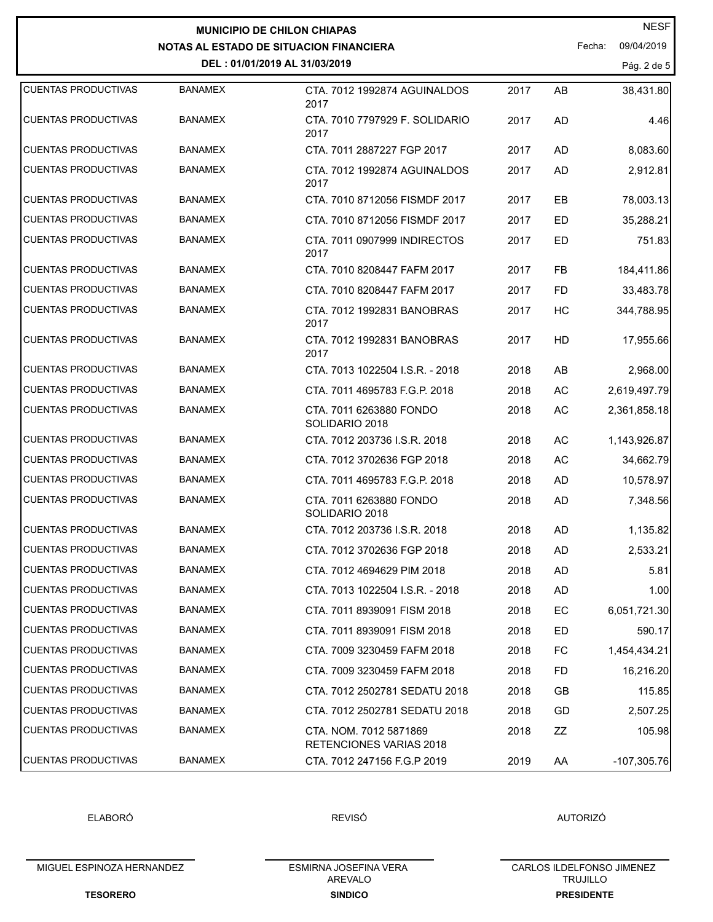|                            |                | <b>MUNICIPIO DE CHILON CHIAPAS</b>                       |      |           | <b>NESF</b>          |
|----------------------------|----------------|----------------------------------------------------------|------|-----------|----------------------|
|                            |                | <b>NOTAS AL ESTADO DE SITUACION FINANCIERA</b>           |      |           | 09/04/2019<br>Fecha: |
|                            |                | DEL: 01/01/2019 AL 31/03/2019                            |      |           | Pág. 2 de 5          |
| <b>CUENTAS PRODUCTIVAS</b> | <b>BANAMEX</b> | CTA. 7012 1992874 AGUINALDOS<br>2017                     | 2017 | AB        | 38,431.80            |
| <b>CUENTAS PRODUCTIVAS</b> | <b>BANAMEX</b> | CTA. 7010 7797929 F. SOLIDARIO<br>2017                   | 2017 | <b>AD</b> | 4.46                 |
| <b>CUENTAS PRODUCTIVAS</b> | <b>BANAMEX</b> | CTA. 7011 2887227 FGP 2017                               | 2017 | AD        | 8,083.60             |
| <b>CUENTAS PRODUCTIVAS</b> | <b>BANAMEX</b> | CTA, 7012 1992874 AGUINALDOS<br>2017                     | 2017 | <b>AD</b> | 2,912.81             |
| <b>CUENTAS PRODUCTIVAS</b> | <b>BANAMEX</b> | CTA. 7010 8712056 FISMDF 2017                            | 2017 | EВ        | 78,003.13            |
| <b>CUENTAS PRODUCTIVAS</b> | <b>BANAMEX</b> | CTA. 7010 8712056 FISMDF 2017                            | 2017 | ED.       | 35,288.21            |
| <b>CUENTAS PRODUCTIVAS</b> | <b>BANAMEX</b> | CTA, 7011 0907999 INDIRECTOS<br>2017                     | 2017 | <b>ED</b> | 751.83               |
| <b>CUENTAS PRODUCTIVAS</b> | <b>BANAMEX</b> | CTA, 7010 8208447 FAFM 2017                              | 2017 | <b>FB</b> | 184,411.86           |
| <b>CUENTAS PRODUCTIVAS</b> | <b>BANAMEX</b> | CTA, 7010 8208447 FAFM 2017                              | 2017 | <b>FD</b> | 33,483.78            |
| <b>CUENTAS PRODUCTIVAS</b> | <b>BANAMEX</b> | CTA. 7012 1992831 BANOBRAS<br>2017                       | 2017 | HC        | 344,788.95           |
| <b>CUENTAS PRODUCTIVAS</b> | <b>BANAMEX</b> | CTA. 7012 1992831 BANOBRAS<br>2017                       | 2017 | HD        | 17,955.66            |
| <b>CUENTAS PRODUCTIVAS</b> | <b>BANAMEX</b> | CTA. 7013 1022504 I.S.R. - 2018                          | 2018 | AB        | 2,968.00             |
| <b>CUENTAS PRODUCTIVAS</b> | <b>BANAMEX</b> | CTA. 7011 4695783 F.G.P. 2018                            | 2018 | AC        | 2,619,497.79         |
| <b>CUENTAS PRODUCTIVAS</b> | <b>BANAMEX</b> | CTA. 7011 6263880 FONDO<br>SOLIDARIO 2018                | 2018 | AC        | 2,361,858.18         |
| <b>CUENTAS PRODUCTIVAS</b> | <b>BANAMEX</b> | CTA. 7012 203736 I.S.R. 2018                             | 2018 | AC        | 1,143,926.87         |
| <b>CUENTAS PRODUCTIVAS</b> | <b>BANAMEX</b> | CTA. 7012 3702636 FGP 2018                               | 2018 | AC        | 34,662.79            |
| <b>CUENTAS PRODUCTIVAS</b> | <b>BANAMEX</b> | CTA. 7011 4695783 F.G.P. 2018                            | 2018 | <b>AD</b> | 10,578.97            |
| <b>CUENTAS PRODUCTIVAS</b> | <b>BANAMEX</b> | CTA. 7011 6263880 FONDO<br>SOLIDARIO 2018                | 2018 | AD        | 7,348.56             |
| <b>CUENTAS PRODUCTIVAS</b> | BANAMEX        | CTA. 7012 203736 I.S.R. 2018                             | 2018 | AD        | 1,135.82             |
| <b>CUENTAS PRODUCTIVAS</b> | <b>BANAMEX</b> | CTA. 7012 3702636 FGP 2018                               | 2018 | AD        | 2,533.21             |
| <b>CUENTAS PRODUCTIVAS</b> | BANAMEX        | CTA, 7012 4694629 PIM 2018                               | 2018 | AD        | 5.81                 |
| <b>CUENTAS PRODUCTIVAS</b> | <b>BANAMEX</b> | CTA. 7013 1022504 I.S.R. - 2018                          | 2018 | AD        | 1.00                 |
| <b>CUENTAS PRODUCTIVAS</b> | <b>BANAMEX</b> | CTA. 7011 8939091 FISM 2018                              | 2018 | EC        | 6,051,721.30         |
| <b>CUENTAS PRODUCTIVAS</b> | <b>BANAMEX</b> | CTA, 7011 8939091 FISM 2018                              | 2018 | ED        | 590.17               |
| <b>CUENTAS PRODUCTIVAS</b> | <b>BANAMEX</b> | CTA. 7009 3230459 FAFM 2018                              | 2018 | FC        | 1,454,434.21         |
| <b>CUENTAS PRODUCTIVAS</b> | <b>BANAMEX</b> | CTA, 7009 3230459 FAFM 2018                              | 2018 | FD        | 16,216.20            |
| <b>CUENTAS PRODUCTIVAS</b> | <b>BANAMEX</b> | CTA. 7012 2502781 SEDATU 2018                            | 2018 | GB        | 115.85               |
| <b>CUENTAS PRODUCTIVAS</b> | <b>BANAMEX</b> | CTA. 7012 2502781 SEDATU 2018                            | 2018 | GD        | 2,507.25             |
| <b>CUENTAS PRODUCTIVAS</b> | BANAMEX        | CTA. NOM. 7012 5871869<br><b>RETENCIONES VARIAS 2018</b> | 2018 | ΖZ        | 105.98               |
| <b>CUENTAS PRODUCTIVAS</b> | <b>BANAMEX</b> | CTA. 7012 247156 F.G.P 2019                              | 2019 | AA        | $-107,305.76$        |

ELABORÓ

REVISÓ **AUTORIZÓ** 

MIGUEL ESPINOZA HERNANDEZ

**TESORERO**

**SINDICO** ESMIRNA JOSEFINA VERA AREVALO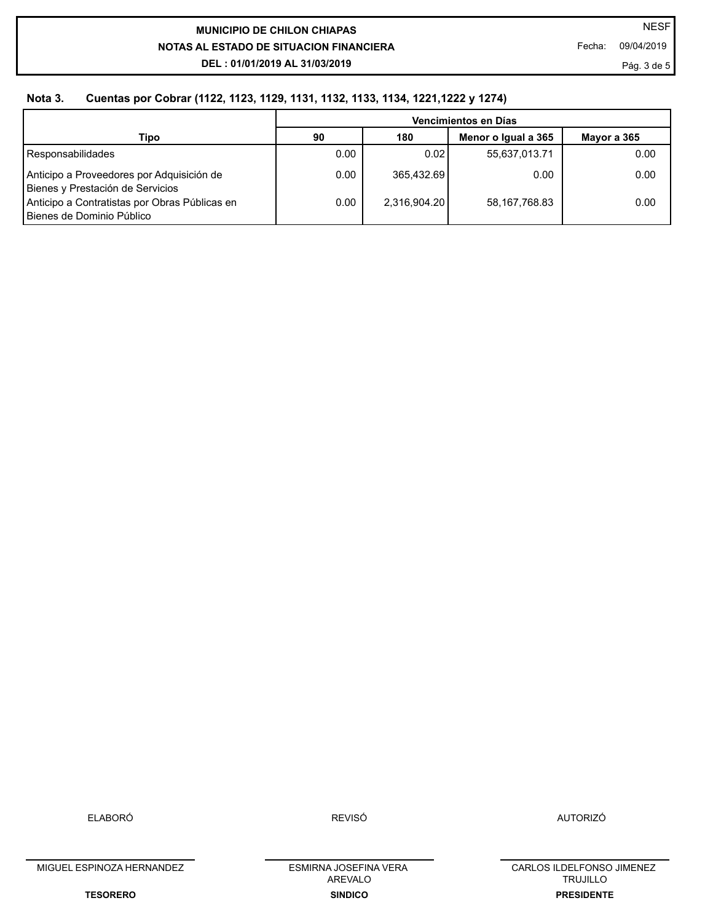# **NOTAS AL ESTADO DE SITUACION FINANCIERA DEL : 01/01/2019 AL 31/03/2019 MUNICIPIO DE CHILON CHIAPAS**

Fecha: 09/04/2019

Pág. 3 de 5

## **Nota 3. Cuentas por Cobrar (1122, 1123, 1129, 1131, 1132, 1133, 1134, 1221,1222 y 1274)**

|                                                                               | Vencimientos en Días |              |                     |             |  |  |
|-------------------------------------------------------------------------------|----------------------|--------------|---------------------|-------------|--|--|
| Tipo                                                                          | 90                   | 180          | Menor o Igual a 365 | Mavor a 365 |  |  |
| Responsabilidades                                                             | 0.00                 | 0.021        | 55,637,013.71       | 0.00        |  |  |
| Anticipo a Proveedores por Adquisición de<br>Bienes y Prestación de Servicios | 0.00                 | 365,432.69   | 0.00                | 0.00        |  |  |
| Anticipo a Contratistas por Obras Públicas en<br>Bienes de Dominio Público    | 0.00                 | 2.316.904.20 | 58,167,768.83       | 0.00        |  |  |

ELABORÓ

REVISÓ AUTORIZÓ

MIGUEL ESPINOZA HERNANDEZ

**TESORERO**

**SINDICO** ESMIRNA JOSEFINA VERA AREVALO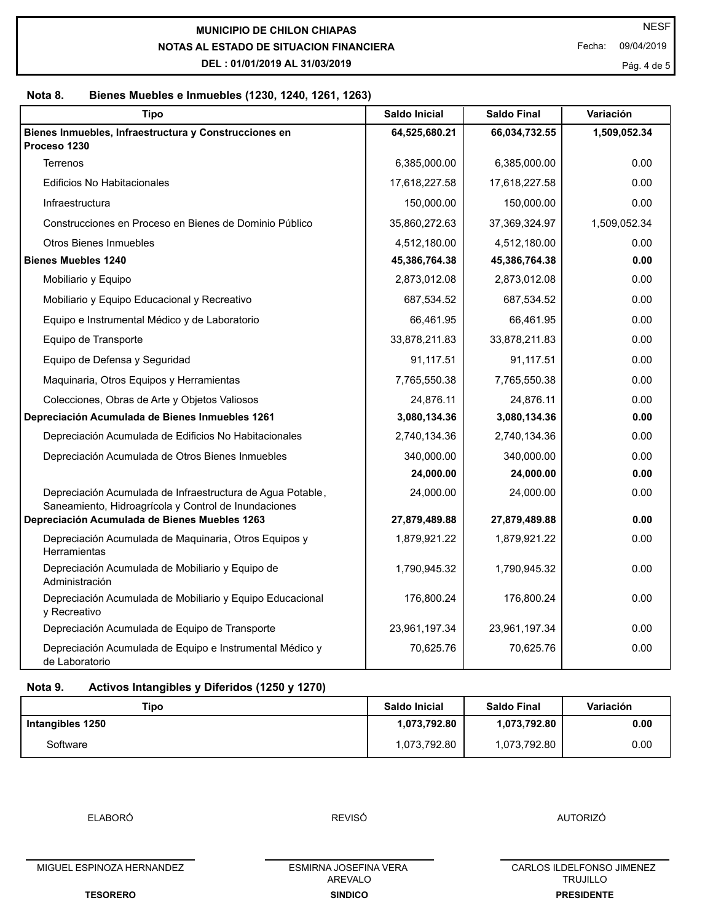**NOTAS AL ESTADO DE SITUACION FINANCIERA MUNICIPIO DE CHILON CHIAPAS** 

**DEL : 01/01/2019 AL 31/03/2019**

Fecha: 09/04/2019

Pág. 4 de 5

## **Nota 8. Bienes Muebles e Inmuebles (1230, 1240, 1261, 1263)**

| <b>Tipo</b>                                                                                                        | <b>Saldo Inicial</b> | <b>Saldo Final</b> | Variación    |
|--------------------------------------------------------------------------------------------------------------------|----------------------|--------------------|--------------|
| Bienes Inmuebles, Infraestructura y Construcciones en                                                              | 64,525,680.21        | 66,034,732.55      | 1,509,052.34 |
| Proceso 1230<br><b>Terrenos</b>                                                                                    | 6,385,000.00         | 6,385,000.00       | 0.00         |
| <b>Edificios No Habitacionales</b>                                                                                 |                      |                    | 0.00         |
|                                                                                                                    | 17,618,227.58        | 17,618,227.58      |              |
| Infraestructura                                                                                                    | 150,000.00           | 150,000.00         | 0.00         |
| Construcciones en Proceso en Bienes de Dominio Público                                                             | 35,860,272.63        | 37,369,324.97      | 1,509,052.34 |
| <b>Otros Bienes Inmuebles</b>                                                                                      | 4,512,180.00         | 4,512,180.00       | 0.00         |
| <b>Bienes Muebles 1240</b>                                                                                         | 45,386,764.38        | 45,386,764.38      | 0.00         |
| Mobiliario y Equipo                                                                                                | 2,873,012.08         | 2,873,012.08       | 0.00         |
| Mobiliario y Equipo Educacional y Recreativo                                                                       | 687,534.52           | 687,534.52         | 0.00         |
| Equipo e Instrumental Médico y de Laboratorio                                                                      | 66,461.95            | 66,461.95          | 0.00         |
| Equipo de Transporte                                                                                               | 33,878,211.83        | 33,878,211.83      | 0.00         |
| Equipo de Defensa y Seguridad                                                                                      | 91,117.51            | 91,117.51          | 0.00         |
| Maquinaria, Otros Equipos y Herramientas                                                                           | 7,765,550.38         | 7,765,550.38       | 0.00         |
| Colecciones, Obras de Arte y Objetos Valiosos                                                                      | 24,876.11            | 24,876.11          | 0.00         |
| Depreciación Acumulada de Bienes Inmuebles 1261                                                                    | 3,080,134.36         | 3,080,134.36       | 0.00         |
| Depreciación Acumulada de Edificios No Habitacionales                                                              | 2,740,134.36         | 2,740,134.36       | 0.00         |
| Depreciación Acumulada de Otros Bienes Inmuebles                                                                   | 340,000.00           | 340,000.00         | 0.00         |
|                                                                                                                    | 24,000.00            | 24,000.00          | 0.00         |
| Depreciación Acumulada de Infraestructura de Agua Potable,<br>Saneamiento, Hidroagrícola y Control de Inundaciones | 24,000.00            | 24,000.00          | 0.00         |
| Depreciación Acumulada de Bienes Muebles 1263                                                                      | 27,879,489.88        | 27,879,489.88      | 0.00         |
| Depreciación Acumulada de Maquinaria, Otros Equipos y<br>Herramientas                                              | 1,879,921.22         | 1,879,921.22       | 0.00         |
| Depreciación Acumulada de Mobiliario y Equipo de<br>Administración                                                 | 1,790,945.32         | 1,790,945.32       | 0.00         |
| Depreciación Acumulada de Mobiliario y Equipo Educacional<br>y Recreativo                                          | 176,800.24           | 176,800.24         | 0.00         |
| Depreciación Acumulada de Equipo de Transporte                                                                     | 23,961,197.34        | 23,961,197.34      | 0.00         |
| Depreciación Acumulada de Equipo e Instrumental Médico y<br>de Laboratorio                                         | 70,625.76            | 70,625.76          | 0.00         |

# **Nota 9. Activos Intangibles y Diferidos (1250 y 1270)**

| Tipo             | Saldo Inicial | <b>Saldo Final</b> | Variación |
|------------------|---------------|--------------------|-----------|
| Intangibles 1250 | 1,073,792.80  | 1,073,792.80       | 0.00      |
| Software         | 1,073,792.80  | ,073,792.80        | 0.00      |

ELABORÓ

REVISÓ AUTORIZÓ

MIGUEL ESPINOZA HERNANDEZ

**SINDICO** ESMIRNA JOSEFINA VERA AREVALO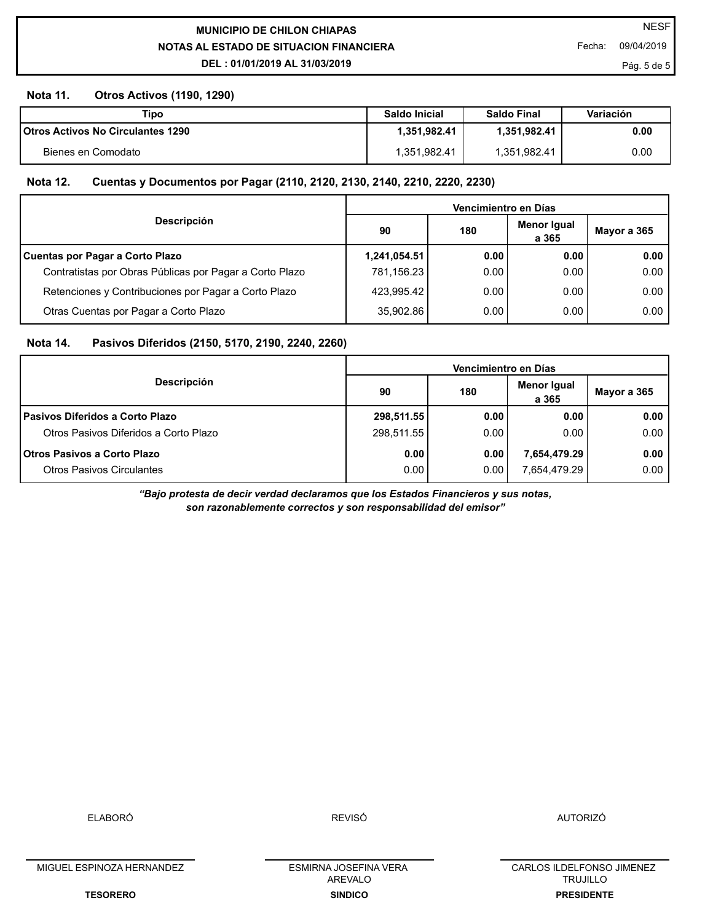**NOTAS AL ESTADO DE SITUACION FINANCIERA MUNICIPIO DE CHILON CHIAPAS** 

**DEL : 01/01/2019 AL 31/03/2019**

## **Nota 11. Otros Activos (1190, 1290)**

| Tipo                                     | Saldo Inicial | <b>Saldo Final</b> | Variación |
|------------------------------------------|---------------|--------------------|-----------|
| <b>Otros Activos No Circulantes 1290</b> | .351.982.41   | .351.982.41        | 0.00      |
| Bienes en Comodato                       | .351,982.41   | .351,982.41        | 0.00      |

## **Nota 12. Cuentas y Documentos por Pagar (2110, 2120, 2130, 2140, 2210, 2220, 2230)**

|                                                         | Vencimientro en Días |       |                      |             |  |
|---------------------------------------------------------|----------------------|-------|----------------------|-------------|--|
| <b>Descripción</b>                                      | 90                   | 180   | Menor Igual<br>a 365 | Mayor a 365 |  |
| Cuentas por Pagar a Corto Plazo                         | 1,241,054.51         | 0.001 | 0.00                 | 0.00        |  |
| Contratistas por Obras Públicas por Pagar a Corto Plazo | 781,156.23           | 0.00  | 0.00                 | 0.00        |  |
| Retenciones y Contribuciones por Pagar a Corto Plazo    | 423,995.42           | 0.00  | 0.00                 | 0.00        |  |
| Otras Cuentas por Pagar a Corto Plazo                   | 35.902.86            | 0.00  | 0.00                 | 0.00        |  |

## **Nota 14. Pasivos Diferidos (2150, 5170, 2190, 2240, 2260)**

|                                        | Vencimientro en Días |      |                      |             |  |  |
|----------------------------------------|----------------------|------|----------------------|-------------|--|--|
| <b>Descripción</b>                     | 90                   | 180  | Menor Igual<br>a 365 | Mayor a 365 |  |  |
| <b>Pasivos Diferidos a Corto Plazo</b> | 298,511.55           | 0.00 | 0.00                 | 0.00        |  |  |
| Otros Pasivos Diferidos a Corto Plazo  | 298,511.55           | 0.00 | 0.00                 | 0.00        |  |  |
| <b>Otros Pasivos a Corto Plazo</b>     | 0.00                 | 0.00 | 7,654,479.29         | 0.00        |  |  |
| <b>Otros Pasivos Circulantes</b>       | 0.00 <sub>1</sub>    | 0.00 | 7.654.479.29 l       | 0.00        |  |  |

*"Bajo protesta de decir verdad declaramos que los Estados Financieros y sus notas, son razonablemente correctos y son responsabilidad del emisor"*

ELABORÓ

MIGUEL ESPINOZA HERNANDEZ

**TESORERO**

**SINDICO** ESMIRNA JOSEFINA VERA AREVALO

CARLOS ILDELFONSO JIMENEZ TRUJILLO **PRESIDENTE**

Pág. 5 de 5

Fecha: 09/04/2019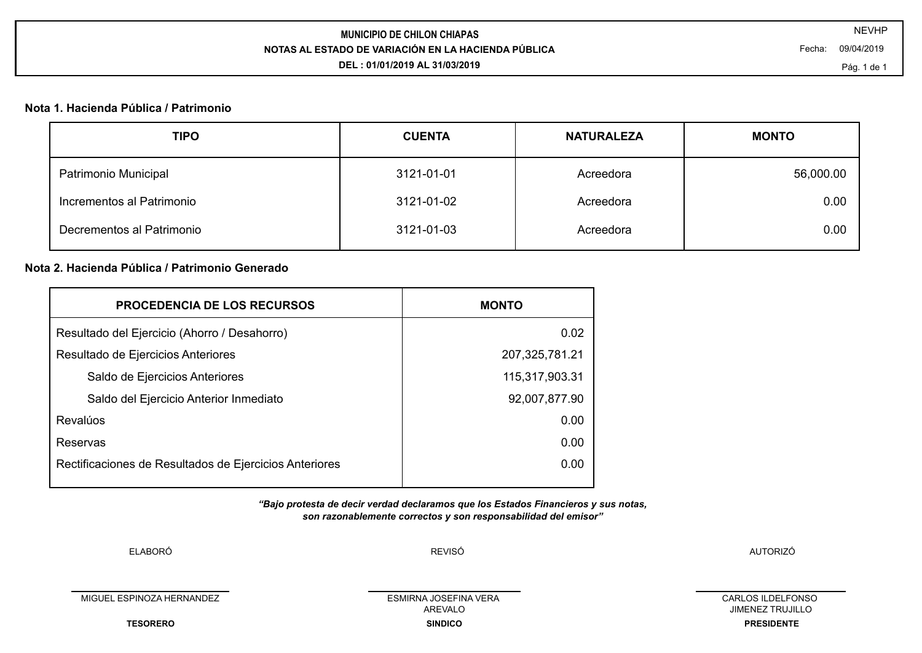# **NOTAS AL ESTADO DE VARIACIÓN EN LA HACIENDA PÚBLICA MUNICIPIO DE CHILON CHIAPAS**

**DEL : 01/01/2019 AL 31/03/2019**

Fecha: 09/04/2019

#### **Nota 1. Hacienda Pública / Patrimonio**

| Patrimonio Municipal<br>3121-01-01<br>Acreedora      | 56,000.00 |
|------------------------------------------------------|-----------|
| Incrementos al Patrimonio<br>3121-01-02<br>Acreedora | 0.00      |
| Decrementos al Patrimonio<br>3121-01-03<br>Acreedora | 0.00      |

# **Nota 2. Hacienda Pública / Patrimonio Generado**

| <b>PROCEDENCIA DE LOS RECURSOS</b>                     | <b>MONTO</b>      |
|--------------------------------------------------------|-------------------|
| Resultado del Ejercicio (Ahorro / Desahorro)           | 0.02              |
| Resultado de Ejercicios Anteriores                     | 207, 325, 781. 21 |
| Saldo de Ejercicios Anteriores                         | 115,317,903.31    |
| Saldo del Ejercicio Anterior Inmediato                 | 92,007,877.90     |
| Revalúos                                               | 0.00              |
| Reservas                                               | 0.00              |
| Rectificaciones de Resultados de Ejercicios Anteriores | 0.00              |
|                                                        |                   |

*"Bajo protesta de decir verdad declaramos que los Estados Financieros y sus notas, son razonablemente correctos y son responsabilidad del emisor"*

ELABORÓ

REVISÓ AUTORIZÓ

MIGUEL ESPINOZA HERNANDEZ

**TESORERO**

**SINDICO** ESMIRNA JOSEFINA VERA AREVALO